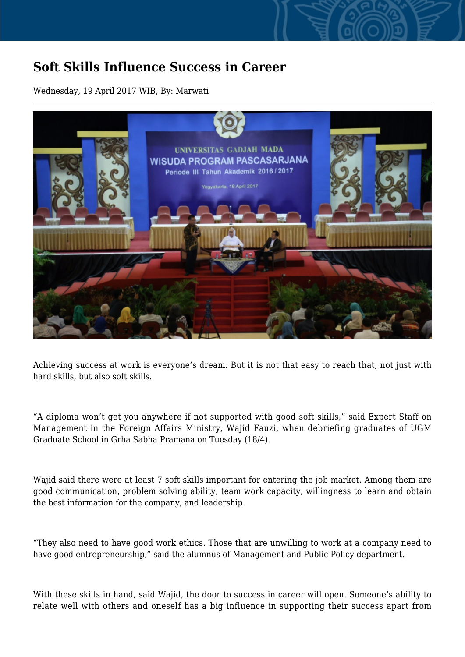## **Soft Skills Influence Success in Career**

Wednesday, 19 April 2017 WIB, By: Marwati



Achieving success at work is everyone's dream. But it is not that easy to reach that, not just with hard skills, but also soft skills.

"A diploma won't get you anywhere if not supported with good soft skills," said Expert Staff on Management in the Foreign Affairs Ministry, Wajid Fauzi, when debriefing graduates of UGM Graduate School in Grha Sabha Pramana on Tuesday (18/4).

Wajid said there were at least 7 soft skills important for entering the job market. Among them are good communication, problem solving ability, team work capacity, willingness to learn and obtain the best information for the company, and leadership.

"They also need to have good work ethics. Those that are unwilling to work at a company need to have good entrepreneurship," said the alumnus of Management and Public Policy department.

With these skills in hand, said Wajid, the door to success in career will open. Someone's ability to relate well with others and oneself has a big influence in supporting their success apart from